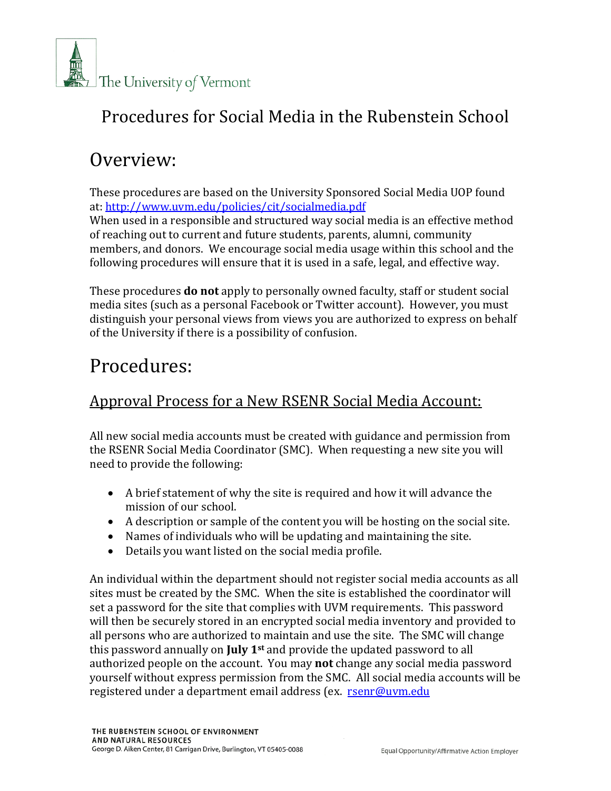

### Procedures for Social Media in the Rubenstein School

# Overview:

These procedures are based on the University Sponsored Social Media UOP found at[: http://www.uvm.edu/policies/cit/socialmedia.pdf](http://www.uvm.edu/policies/cit/socialmedia.pdf)

When used in a responsible and structured way social media is an effective method of reaching out to current and future students, parents, alumni, community members, and donors. We encourage social media usage within this school and the following procedures will ensure that it is used in a safe, legal, and effective way.

These procedures **do not** apply to personally owned faculty, staff or student social media sites (such as a personal Facebook or Twitter account). However, you must distinguish your personal views from views you are authorized to express on behalf of the University if there is a possibility of confusion.

# Procedures:

#### Approval Process for a New RSENR Social Media Account:

All new social media accounts must be created with guidance and permission from the RSENR Social Media Coordinator (SMC). When requesting a new site you will need to provide the following:

- A brief statement of why the site is required and how it will advance the mission of our school.
- A description or sample of the content you will be hosting on the social site.
- Names of individuals who will be updating and maintaining the site.
- Details you want listed on the social media profile.

An individual within the department should not register social media accounts as all sites must be created by the SMC. When the site is established the coordinator will set a password for the site that complies with UVM requirements. This password will then be securely stored in an encrypted social media inventory and provided to all persons who are authorized to maintain and use the site. The SMC will change this password annually on **July 1st** and provide the updated password to all authorized people on the account. You may **not** change any social media password yourself without express permission from the SMC. All social media accounts will be registered under a department email address (ex. [rsenr@uvm.edu](mailto:rsenr@uvm.edu)